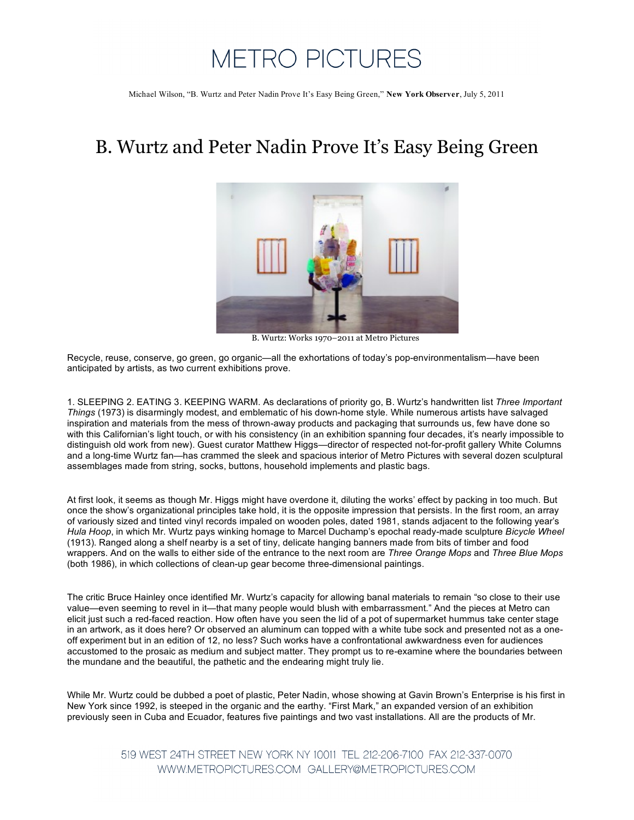## **METRO PICTURES**

Michael Wilson, "B. Wurtz and Peter Nadin Prove It's Easy Being Green," **New York Observer**, July 5, 2011

## B. Wurtz and Peter Nadin Prove It's Easy Being Green



B. Wurtz: Works 1970–2011 at Metro Pictures

Recycle, reuse, conserve, go green, go organic—all the exhortations of today's pop-environmentalism—have been anticipated by artists, as two current exhibitions prove.

1. SLEEPING 2. EATING 3. KEEPING WARM. As declarations of priority go, B. Wurtz's handwritten list *Three Important Things* (1973) is disarmingly modest, and emblematic of his down-home style. While numerous artists have salvaged inspiration and materials from the mess of thrown-away products and packaging that surrounds us, few have done so with this Californian's light touch, or with his consistency (in an exhibition spanning four decades, it's nearly impossible to distinguish old work from new). Guest curator Matthew Higgs—director of respected not-for-profit gallery White Columns and a long-time Wurtz fan—has crammed the sleek and spacious interior of Metro Pictures with several dozen sculptural assemblages made from string, socks, buttons, household implements and plastic bags.

At first look, it seems as though Mr. Higgs might have overdone it, diluting the works' effect by packing in too much. But once the show's organizational principles take hold, it is the opposite impression that persists. In the first room, an array of variously sized and tinted vinyl records impaled on wooden poles, dated 1981, stands adjacent to the following year's *Hula Hoop*, in which Mr. Wurtz pays winking homage to Marcel Duchamp's epochal ready-made sculpture *Bicycle Wheel* (1913). Ranged along a shelf nearby is a set of tiny, delicate hanging banners made from bits of timber and food wrappers. And on the walls to either side of the entrance to the next room are *Three Orange Mops* and *Three Blue Mops* (both 1986), in which collections of clean-up gear become three-dimensional paintings.

The critic Bruce Hainley once identified Mr. Wurtz's capacity for allowing banal materials to remain "so close to their use value—even seeming to revel in it—that many people would blush with embarrassment." And the pieces at Metro can elicit just such a red-faced reaction. How often have you seen the lid of a pot of supermarket hummus take center stage in an artwork, as it does here? Or observed an aluminum can topped with a white tube sock and presented not as a oneoff experiment but in an edition of 12, no less? Such works have a confrontational awkwardness even for audiences accustomed to the prosaic as medium and subject matter. They prompt us to re-examine where the boundaries between the mundane and the beautiful, the pathetic and the endearing might truly lie.

While Mr. Wurtz could be dubbed a poet of plastic, Peter Nadin, whose showing at Gavin Brown's Enterprise is his first in New York since 1992, is steeped in the organic and the earthy. "First Mark," an expanded version of an exhibition previously seen in Cuba and Ecuador, features five paintings and two vast installations. All are the products of Mr.

> 519 WEST 24TH STREET NEW YORK NY 10011 TEL 212-206-7100 FAX 212-337-0070 WWW.METROPICTURES.COM GALLERY@METROPICTURES.COM